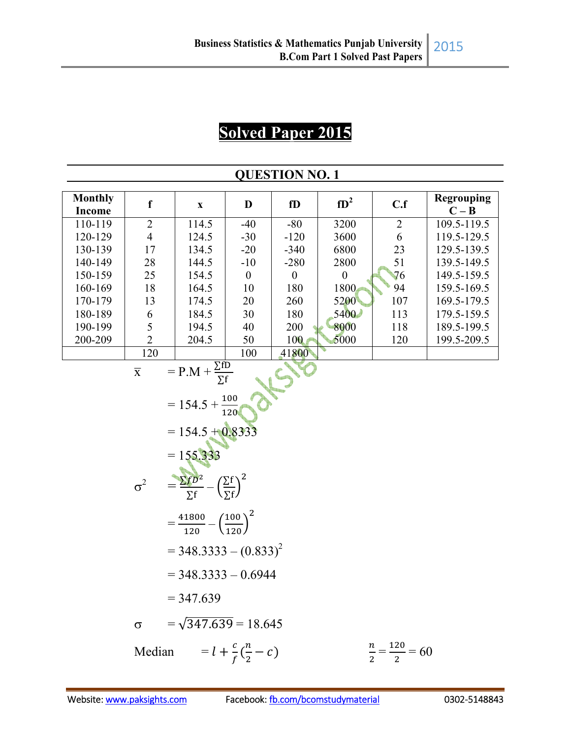## **Solved Paper 2015**

|                                 |                                       |                                                                                                                                                                                                                                                                                                                 |                                      | <b>QUESTION NO. 1</b> |                  |                                    |                              |
|---------------------------------|---------------------------------------|-----------------------------------------------------------------------------------------------------------------------------------------------------------------------------------------------------------------------------------------------------------------------------------------------------------------|--------------------------------------|-----------------------|------------------|------------------------------------|------------------------------|
| <b>Monthly</b><br><b>Income</b> | $\mathbf f$                           | $\mathbf X$                                                                                                                                                                                                                                                                                                     | D                                    | fD                    | $fD^2$           | C.f                                | <b>Regrouping</b><br>$C - B$ |
| 110-119                         | $\overline{2}$                        | 114.5                                                                                                                                                                                                                                                                                                           | $-40$                                | $-80$                 | 3200             | $\overline{2}$                     | 109.5-119.5                  |
| 120-129                         | $\overline{4}$                        | 124.5                                                                                                                                                                                                                                                                                                           | $-30$                                | $-120$                | 3600             | 6                                  | 119.5-129.5                  |
| 130-139                         | 17                                    | 134.5                                                                                                                                                                                                                                                                                                           | $-20$                                | $-340$                | 6800             | 23                                 | 129.5-139.5                  |
| 140-149                         | 28                                    | 144.5                                                                                                                                                                                                                                                                                                           | $-10$                                | $-280$                | 2800             | 51                                 | 139.5-149.5                  |
| 150-159                         | 25                                    | 154.5                                                                                                                                                                                                                                                                                                           | $\boldsymbol{0}$                     | $\boldsymbol{0}$      | $\boldsymbol{0}$ | 76                                 | 149.5-159.5                  |
| 160-169                         | 18                                    | 164.5                                                                                                                                                                                                                                                                                                           | 10                                   | 180                   | 1800             | 94                                 | 159.5-169.5                  |
| 170-179                         | 13                                    | 174.5                                                                                                                                                                                                                                                                                                           | 20                                   | 260                   | 5200             | 107                                | 169.5-179.5                  |
| 180-189                         | 6                                     | 184.5                                                                                                                                                                                                                                                                                                           | 30                                   | 180                   | 5400             | 113                                | 179.5-159.5                  |
| 190-199                         | 5                                     | 194.5                                                                                                                                                                                                                                                                                                           | 40                                   | 200                   | 8000             | 118                                | 189.5-199.5                  |
| 200-209                         | $\overline{2}$                        | 204.5                                                                                                                                                                                                                                                                                                           | 50                                   | 100                   | 5000             | 120                                | 199.5-209.5                  |
|                                 | 120                                   |                                                                                                                                                                                                                                                                                                                 | 100                                  | 41800                 |                  |                                    |                              |
|                                 | $\overline{\textbf{X}}$<br>$\sigma^2$ | $= P.M + \frac{\Sigma f D}{\Sigma f}$<br>$= 154.5 + \frac{100}{120}$<br>$= 154.5 + 0.8333$<br>$= 155.333$<br>$=\frac{\sum f^{D^2}}{\sum f}-\left(\frac{\sum f}{\sum f}\right)^2$<br>$=\frac{41800}{120}-\left(\frac{100}{120}\right)^2$<br>$=$ 348.3333 – $(0.833)^2$<br>$=$ 348.3333 $-$ 0.6944<br>$= 347.639$ |                                      |                       |                  |                                    |                              |
|                                 | $\sigma$<br>Median                    | $=\sqrt{347.639}$ = 18.645                                                                                                                                                                                                                                                                                      | $= l + \frac{c}{f}(\frac{n}{2} - c)$ |                       |                  | $\frac{n}{2} = \frac{120}{2} = 60$ |                              |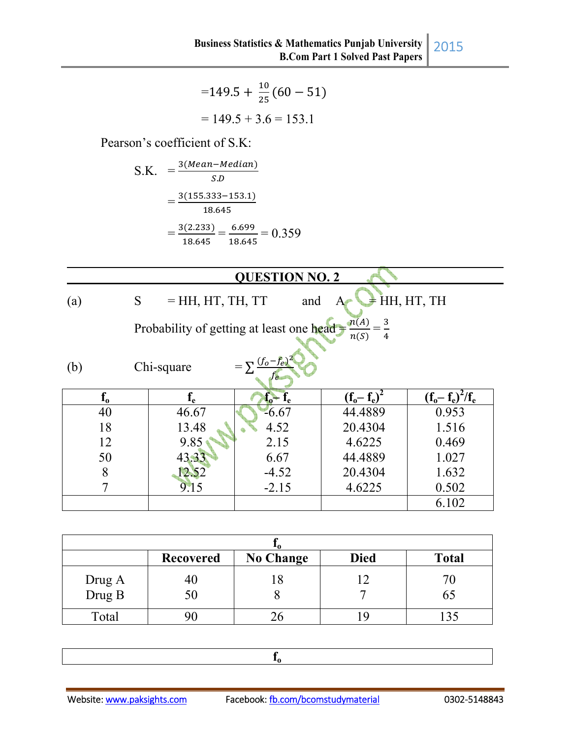$$
=149.5 + \frac{10}{25}(60 - 51)
$$

$$
= 149.5 + 3.6 = 153.1
$$

Pearson's coefficient of S.K:

S.K. 
$$
= \frac{3(Mean-Median)}{S.D}
$$

$$
= \frac{3(155.333-153.1)}{18.645}
$$

$$
= \frac{3(2.233)}{18.645} = \frac{6.699}{18.645} = 0.359
$$

|                          |                         | <b>QUESTION NO. 2</b>                                                                 |                 |                     |  |  |
|--------------------------|-------------------------|---------------------------------------------------------------------------------------|-----------------|---------------------|--|--|
| $\left( \text{a}\right)$ | $=$ HH, HT, TH, TT<br>S | and                                                                                   |                 | $\neq$ HH, HT, TH   |  |  |
|                          |                         | $\frac{n(A)}{n(A)} = \frac{3}{2}$<br>Probability of getting at least one head<br>n(S) |                 |                     |  |  |
| (b)                      | Chi-square              | $=\sum \frac{(f_o - f_e)^2}{2}$                                                       |                 |                     |  |  |
| $f_{o}$                  | $f_{\rm e}$             | $f_o - f_e$                                                                           | $(f_0 - f_e)^2$ | $(f_o - f_e)^2/f_e$ |  |  |
| 40                       | 46.67                   | $-6.67$                                                                               | 44.4889         | 0.953               |  |  |
| 18                       | 13.48                   | 4.52                                                                                  | 20.4304         | 1.516               |  |  |
| 12                       | 9.85                    | 2.15                                                                                  | 4.6225          | 0.469               |  |  |
| 50                       | 43.33                   | 6.67                                                                                  | 44.4889         | 1.027               |  |  |
| 8                        | 12.52                   | $-4.52$                                                                               | 20.4304         | 1.632               |  |  |
|                          | 9.15                    | $-2.15$                                                                               | 4.6225          | 0.502               |  |  |
|                          |                         |                                                                                       |                 | 6.102               |  |  |

|                  | <b>Recovered</b> | <b>No Change</b> | <b>Died</b> | <b>Total</b> |
|------------------|------------------|------------------|-------------|--------------|
| Drug A<br>Drug B | 40<br>50         |                  |             | 65           |
| Total            |                  |                  |             |              |

**fo**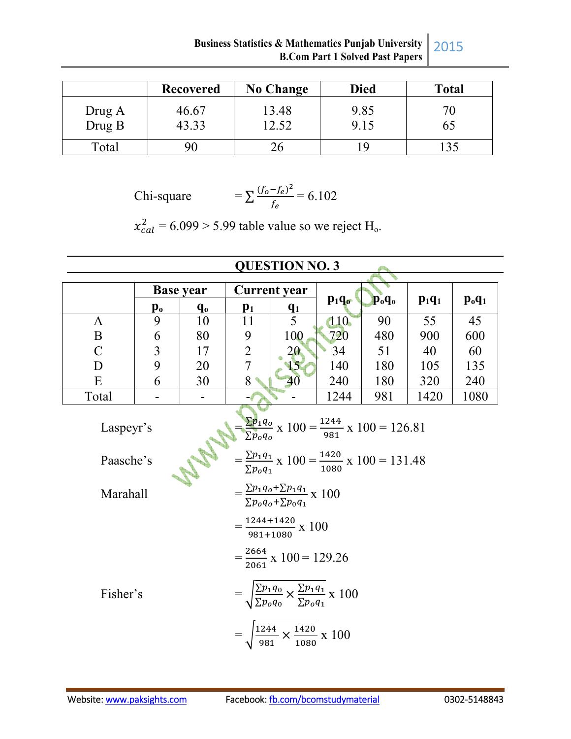|                  | <b>Recovered</b> | <b>No Change</b> | <b>Died</b>  | <b>Total</b> |
|------------------|------------------|------------------|--------------|--------------|
| Drug A<br>Drug B | 46.67<br>43.33   | 13.48<br>12.52   | 9.85<br>9.15 | OJ           |
| Total            | 90               |                  | ۱Q           |              |

Chi-square

$$
=\sum \frac{(f_o - f_e)^2}{f_e} = 6.102
$$

 $x_{cal}^2 = 6.099 > 5.99$  table value so we reject H<sub>o</sub>.

|                                    | <b>QUESTION NO. 3</b> |         |                |                                                                                                                                                                                                                                                   |                  |                                |          |          |
|------------------------------------|-----------------------|---------|----------------|---------------------------------------------------------------------------------------------------------------------------------------------------------------------------------------------------------------------------------------------------|------------------|--------------------------------|----------|----------|
|                                    | <b>Base year</b>      |         |                | <b>Current</b> year                                                                                                                                                                                                                               |                  |                                |          |          |
|                                    | $\mathbf{p_{o}}$      | $q_{o}$ | p <sub>1</sub> | $q_1$                                                                                                                                                                                                                                             | $p_1q_{\bullet}$ | $\mathbf{p}_{o}\mathbf{q}_{o}$ | $p_1q_1$ | $p_0q_1$ |
| A                                  | 9                     | 10      | 11             | $5\overline{)}$                                                                                                                                                                                                                                   | 110              | 90                             | 55       | 45       |
| B                                  | 6                     | 80      | 9              | 100                                                                                                                                                                                                                                               | 720              | 480                            | 900      | 600      |
| $\mathbf C$                        | $\overline{3}$        | 17      | $\overline{2}$ | 20<br>15                                                                                                                                                                                                                                          | 34               | 51                             | 40       | 60       |
| D                                  | 9                     | 20      | $\overline{7}$ |                                                                                                                                                                                                                                                   | 140              | 180                            | 105      | 135      |
| E                                  | 6                     | 30      | 8              | 40                                                                                                                                                                                                                                                | 240              | 180                            | 320      | 240      |
| Total                              | ۰                     |         |                |                                                                                                                                                                                                                                                   | 1244             | 981                            | 1420     | 1080     |
| Laspeyr's<br>Paasche's<br>Marahall |                       |         |                | $\frac{\sum p_1 q_0}{\sum p_0 q_0}$ x 100 = $\frac{1244}{981}$ x 100 = 126.81<br>$=\frac{\sum p_1 q_1}{\sum p_0 q_1}$ x 100 = $\frac{1420}{1080}$ x 100 = 131.48<br>$=\frac{\sum p_1 q_0 + \sum p_1 q_1}{\sum p_0 q_0 + \sum p_0 q_1} \times 100$ |                  |                                |          |          |
| Fisher's                           |                       |         |                | $=\frac{1244+1420}{981+1080} \times 100$<br>$=\frac{2664}{2061}$ x 100 = 129.26<br>$\sqrt{\frac{\Sigma p_1 q_0}{\Sigma p_o q_0}} \times \frac{\Sigma p_1 q_1}{\Sigma p_o q_1} \times 100$                                                         |                  |                                |          |          |
|                                    |                       |         |                | $\frac{1244}{981} \times \frac{1420}{1080}$ x 100                                                                                                                                                                                                 |                  |                                |          |          |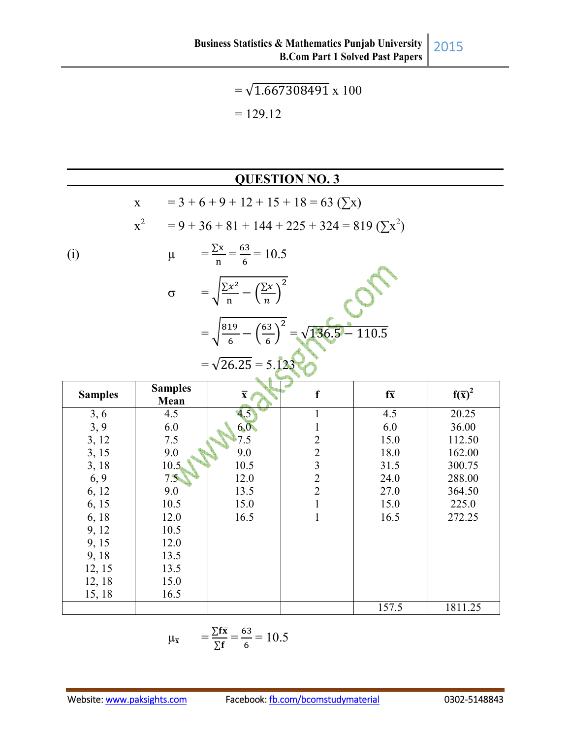$=\sqrt{1.667308491} \times 100$  $= 129.12$ 

## **QUESTION NO. 3**

|                | $\mathbf X$            |                                                      | $= 3 + 6 + 9 + 12 + 15 + 18 = 63$ ( $\Sigma$ x)                        |                 |                     |
|----------------|------------------------|------------------------------------------------------|------------------------------------------------------------------------|-----------------|---------------------|
|                | $\mathbf{x}^2$         |                                                      | $= 9 + 36 + 81 + 144 + 225 + 324 = 819 \left(\sum x^2\right)$          |                 |                     |
| (i)            | $\mu$                  | $=\frac{\sum x}{n}=\frac{63}{6}=10.5$                |                                                                        |                 |                     |
|                | $\sigma$               | $= \sqrt{\frac{\sum x^2}{n} - (\frac{\sum x}{n})^2}$ |                                                                        |                 |                     |
|                |                        |                                                      | $=\sqrt{\frac{819}{6}-\left(\frac{63}{6}\right)^2}=\sqrt{136.5}-110.5$ |                 |                     |
|                |                        | $=\sqrt{26.25}$ = 5.123                              |                                                                        |                 |                     |
| <b>Samples</b> | <b>Samples</b><br>Mean | $\overline{\mathbf{x}}$                              | f                                                                      | $f\overline{x}$ | $f(\overline{x})^2$ |
| 3, 6           | 4.5                    | 4.5                                                  | $\mathbf{1}$                                                           | 4.5             | 20.25               |
| 3, 9           | 6.0                    | 6,0                                                  | $\mathbf{1}$                                                           | 6.0             | 36.00               |
| 3, 12          | 7.5                    | 7.5                                                  |                                                                        | 15.0            | 112.50              |
| 3, 15          | 9.0                    | 9.0                                                  |                                                                        | 18.0            | 162.00              |
| 3, 18          | 10.5                   | 10.5                                                 |                                                                        | 31.5            | 300.75              |
| 6, 9           | 7.5                    | 12.0                                                 | $2$<br>$3$<br>$2$<br>$2$<br>$1$                                        | 24.0            | 288.00              |
| 6, 12          | 9.0                    | 13.5                                                 |                                                                        | 27.0            | 364.50              |
| 6, 15          | 10.5                   | 15.0                                                 |                                                                        | 15.0            | 225.0               |
| 6, 18          | 12.0                   | 16.5                                                 | $\mathbf{1}$                                                           | 16.5            | 272.25              |
| 9, 12          | 10.5                   |                                                      |                                                                        |                 |                     |
| 9, 15          | 12.0                   |                                                      |                                                                        |                 |                     |
| 9,18           | 13.5                   |                                                      |                                                                        |                 |                     |
| 12, 15         | 13.5                   |                                                      |                                                                        |                 |                     |
| 12, 18         | 15.0                   |                                                      |                                                                        |                 |                     |
| 15, 18         | 16.5                   |                                                      |                                                                        |                 |                     |
|                |                        |                                                      |                                                                        | 157.5           | 1811.25             |

$$
\mu_{\overline{x}} = \frac{\sum f\overline{x}}{\sum f} = \frac{63}{6} = 10.5
$$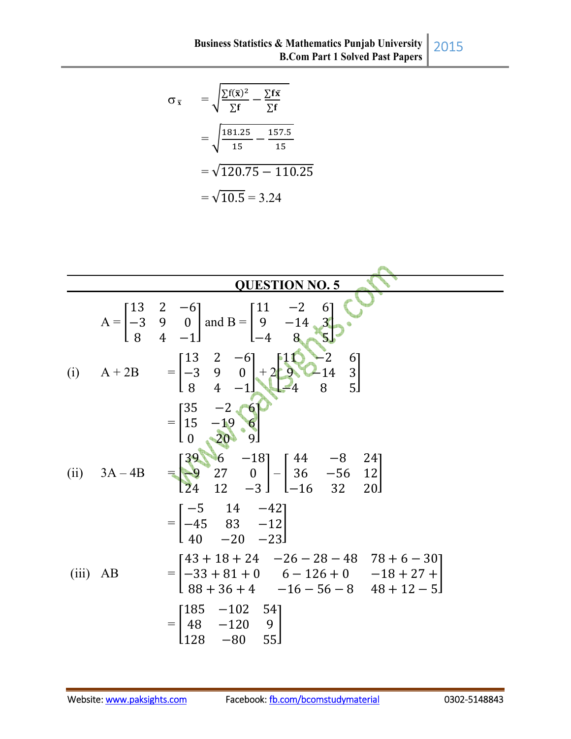$$
\sigma_{\overline{x}} = \sqrt{\frac{\sum f(\overline{x})^2}{\sum f} - \frac{\sum f\overline{x}}{\sum f}}
$$

$$
= \sqrt{\frac{181.25}{15} - \frac{157.5}{15}}
$$

$$
= \sqrt{120.75 - 110.25}
$$

$$
= \sqrt{10.5} = 3.24
$$

|            |                | <b>QUESTION NO. 5</b>                                                                                                                                                                                                                     |
|------------|----------------|-------------------------------------------------------------------------------------------------------------------------------------------------------------------------------------------------------------------------------------------|
|            |                | A = $\begin{bmatrix} 13 & 2 & -6 \\ -3 & 9 & 0 \\ 8 & 4 & -1 \end{bmatrix}$ and B = $\begin{bmatrix} 11 & -2 & 6 \\ 9 & -14 & 3 \\ -4 & 8 & 5 \end{bmatrix}$                                                                              |
| (i)        | $A + 2B$       | $=\begin{bmatrix} 13 & 2 & -6 \\ -3 & 9 & 0 \\ 8 & 4 & -1 \end{bmatrix} + 2 \begin{bmatrix} 11 & -2 & 6 \\ 9 & -14 & 3 \\ -4 & 8 & 5 \end{bmatrix}$                                                                                       |
|            | (ii) $3A - 4B$ | $=\begin{bmatrix} 35 & -2 & 6 \\ 15 & -19 & 6 \\ 0 & 20 & 9 \end{bmatrix}$<br>$=\begin{bmatrix} 39 & 6 & -18 \\ -9 & 27 & 0 \\ 24 & 12 & -3 \end{bmatrix} - \begin{bmatrix} 44 & -8 & 24 \\ 36 & -56 & 12 \\ -16 & 32 & 20 \end{bmatrix}$ |
|            |                | $=\begin{bmatrix} -5 & 14 & -42 \\ -45 & 83 & -12 \\ 40 & -20 & -23 \end{bmatrix}$                                                                                                                                                        |
| $(iii)$ AB |                | $=\begin{bmatrix} 43+18+24 & -26-28-48 & 78+6-30 \\ -33+81+0 & 6-126+0 & -18+27+ \\ 88+36+4 & -16-56-8 & 48+12-5 \end{bmatrix}$                                                                                                           |
|            |                | $=\begin{bmatrix} 185 & -102 & 54 \\ 48 & -120 & 9 \\ 122 & 22 & 52 \end{bmatrix}$<br>55 <sub>1</sub><br>$-80$<br>128                                                                                                                     |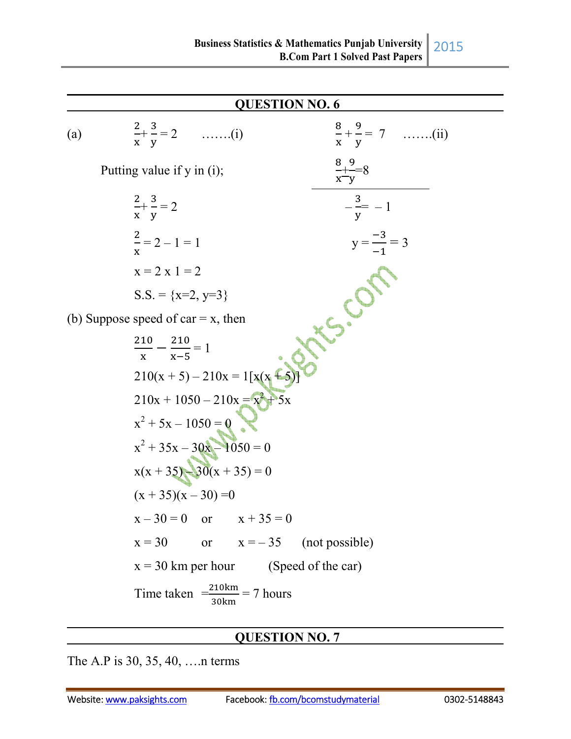**QUESTION NO. 6**  (a)  $\frac{2}{x}$  $\mathbf{x}$  $+ \frac{3}{11}$ D  $= 2$  …….(i)  $\frac{8}{x}$  $\mathbf{x}$  $+\frac{9}{4}$ D  $= 7$  …….(ii) Putting value if y in (i);  $\mathbf{x}$  $+9$ y =8  $\overline{\mathbf{c}}$  $\mathbf{x}$  $+ \frac{3}{11}$ D  $= 2$   $- \frac{3}{4}$ D  $= -1$  $\overline{\mathbf{c}}$  $\mathbf x$  $y = 2 - 1 = 1$   $y = \frac{-3}{4}$  $-1$  $y = \frac{-3}{-1} = 3$  $x = 2 x 1 = 2$  $S.S. = \{x=2, y=3\}$ (b) Suppose speed of car  $= x$ , then 210  $\frac{10}{x} - \frac{210}{x-5}$  $x-5$  $= 1$  $210(x + 5) - 210x = 1[x(x + 5)]$  $210x + 1050 - 210x = x^2 + 5x$  $x^2 + 5x - 1050 = 0$  $x^2 + 35x - 30x - 1050 = 0$  $x(x + 35) - 30(x + 35) = 0$  $(x + 35)(x - 30) = 0$  $x - 30 = 0$  or  $x + 35 = 0$  $x = 30$  or  $x = -35$  (not possible)  $x = 30$  km per hour (Speed of the car) Time taken  $\frac{210 \text{ km}}{30 \text{ km}}$  = 7 hours

## **QUESTION NO. 7**

The A.P is 30, 35, 40, ….n terms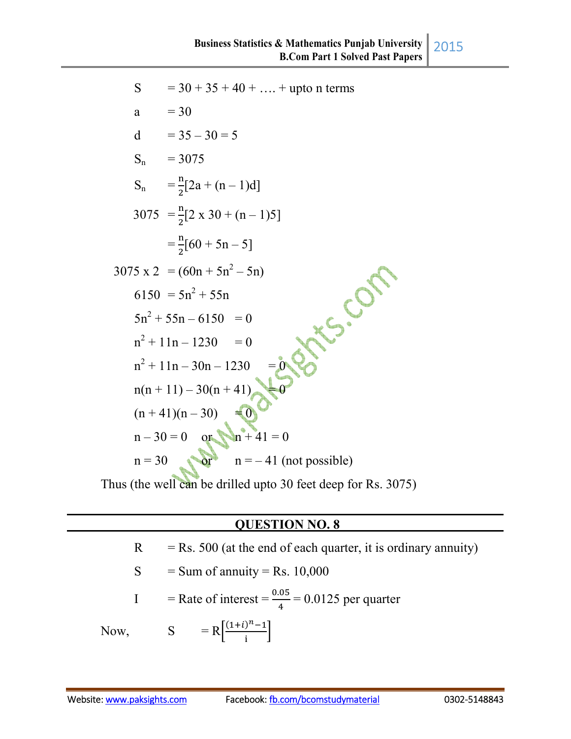| S            | $=$ 30 + 35 + 40 +  + upto n terms         |
|--------------|--------------------------------------------|
| $\mathbf{a}$ | $= 30$                                     |
|              | d = $35 - 30 = 5$                          |
|              | $S_n = 3075$                               |
|              | $S_n = \frac{n}{2}[2a + (n-1)d]$           |
|              | $3075 = \frac{n}{2}[2 \times 30 + (n-1)5]$ |
|              | $=\frac{n}{2}[60+5n-5]$                    |
|              | $3075 \text{ x } 2 = (60n + 5n^2 - 5n)$    |
|              | $6150 = 5n^2 + 55n$                        |
|              | $5n^2 + 55n - 6150 = 0$                    |
|              | $n^2 + 11n - 1230 = 0$                     |
|              | $n^2 + 11n - 30n - 1230$                   |
|              | $n(n+11) - 30(n+41)$                       |
|              | $(n+41)(n-30)$<br>$\blacktriangleleft$ 0   |
|              | $n-30=0$ or $n+41=0$                       |
|              | $n = 30$ or $n = -41$ (not possible)       |
|              |                                            |

Thus (the well can be drilled upto 30 feet deep for Rs. 3075)

## **QUESTION NO. 8**

| R | $=$ Rs. 500 (at the end of each quarter, it is ordinary annuity) |
|---|------------------------------------------------------------------|
|   | $S = Sum of annuity = Rs. 10,000$                                |
|   | I = Rate of interest = $\frac{0.05}{4}$ = 0.0125 per quarter     |
|   | Now, $S = R \frac{(1+i)^{n}-1}{i}$                               |